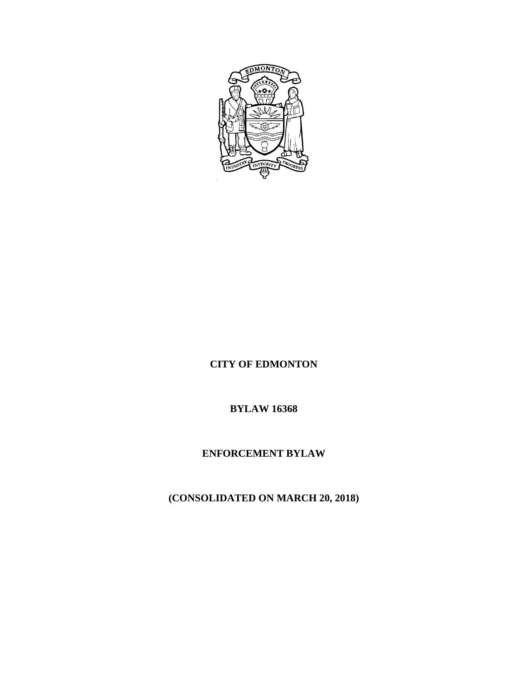

# **CITY OF EDMONTON**

# **BYLAW 16368**

# **ENFORCEMENT BYLAW**

# **(CONSOLIDATED ON MARCH 20, 2018)**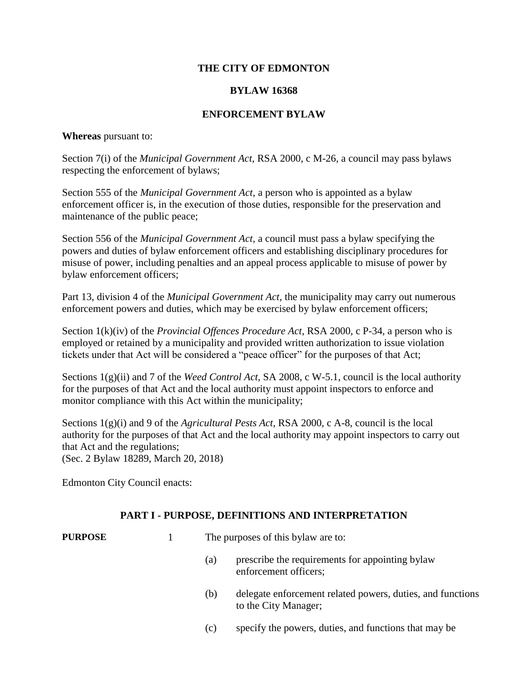## **THE CITY OF EDMONTON**

## **BYLAW 16368**

### **ENFORCEMENT BYLAW**

#### **Whereas** pursuant to:

Section 7(i) of the *Municipal Government Act*, RSA 2000, c M-26, a council may pass bylaws respecting the enforcement of bylaws;

Section 555 of the *Municipal Government Act*, a person who is appointed as a bylaw enforcement officer is, in the execution of those duties, responsible for the preservation and maintenance of the public peace;

Section 556 of the *Municipal Government Act*, a council must pass a bylaw specifying the powers and duties of bylaw enforcement officers and establishing disciplinary procedures for misuse of power, including penalties and an appeal process applicable to misuse of power by bylaw enforcement officers;

Part 13, division 4 of the *Municipal Government Act*, the municipality may carry out numerous enforcement powers and duties, which may be exercised by bylaw enforcement officers;

Section 1(k)(iv) of the *Provincial Offences Procedure Act*, RSA 2000, c P-34, a person who is employed or retained by a municipality and provided written authorization to issue violation tickets under that Act will be considered a "peace officer" for the purposes of that Act;

Sections 1(g)(ii) and 7 of the *Weed Control Act*, SA 2008, c W-5.1, council is the local authority for the purposes of that Act and the local authority must appoint inspectors to enforce and monitor compliance with this Act within the municipality;

Sections 1(g)(i) and 9 of the *Agricultural Pests Act*, RSA 2000, c A-8, council is the local authority for the purposes of that Act and the local authority may appoint inspectors to carry out that Act and the regulations; (Sec. 2 Bylaw 18289, March 20, 2018)

Edmonton City Council enacts:

#### **PART I - PURPOSE, DEFINITIONS AND INTERPRETATION**

| <b>PURPOSE</b> |     | The purposes of this bylaw are to:                                                 |  |
|----------------|-----|------------------------------------------------------------------------------------|--|
|                | (a) | prescribe the requirements for appointing by aw<br>enforcement officers;           |  |
|                | (b) | delegate enforcement related powers, duties, and functions<br>to the City Manager; |  |

(c) specify the powers, duties, and functions that may be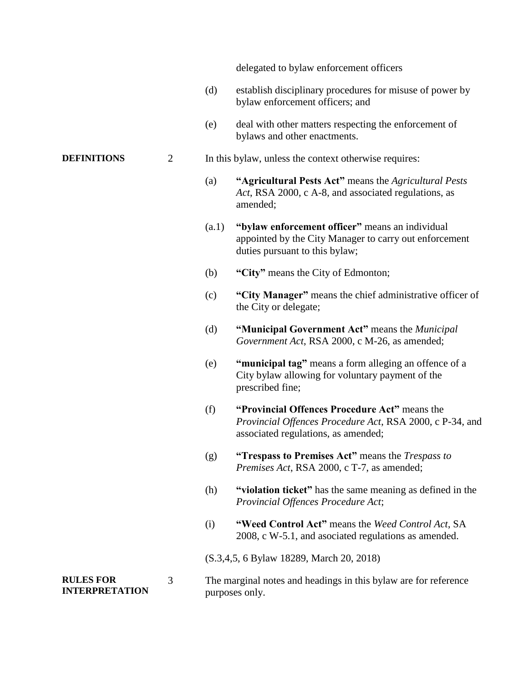delegated to bylaw enforcement officers

- (d) establish disciplinary procedures for misuse of power by bylaw enforcement officers; and
- (e) deal with other matters respecting the enforcement of bylaws and other enactments.

#### **DEFINITIONS** 2 In this bylaw, unless the context otherwise requires:

- (a) **"Agricultural Pests Act"** means the *Agricultural Pests Act*, RSA 2000, c A-8, and associated regulations, as amended;
- (a.1) **"bylaw enforcement officer"** means an individual appointed by the City Manager to carry out enforcement duties pursuant to this bylaw;
- (b) **"City"** means the City of Edmonton;
- (c) **"City Manager"** means the chief administrative officer of the City or delegate;
- (d) **"Municipal Government Act"** means the *Municipal Government Act*, RSA 2000, c M-26, as amended;
- (e) **"municipal tag"** means a form alleging an offence of a City bylaw allowing for voluntary payment of the prescribed fine;
- (f) **"Provincial Offences Procedure Act"** means the *Provincial Offences Procedure Act*, RSA 2000, c P-34, and associated regulations, as amended;
- (g) **"Trespass to Premises Act"** means the *Trespass to Premises Act*, RSA 2000, c T-7, as amended;
- (h) **"violation ticket"** has the same meaning as defined in the *Provincial Offences Procedure Act*;
- (i) **"Weed Control Act"** means the *Weed Control Act*, SA 2008, c W-5.1, and asociated regulations as amended.

(S.3,4,5, 6 Bylaw 18289, March 20, 2018)

**RULES FOR INTERPRETATION** 3 The marginal notes and headings in this bylaw are for reference purposes only.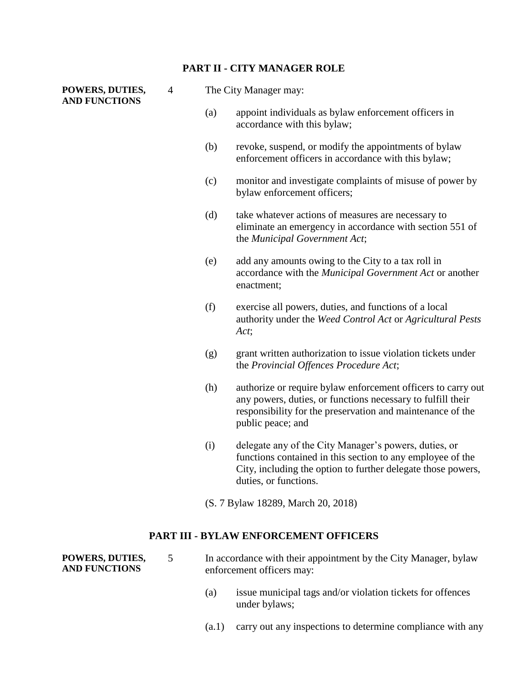#### **PART II - CITY MANAGER ROLE**

#### **POWERS, DUTIES, AND FUNCTIONS**

- 4 The City Manager may:
	- (a) appoint individuals as bylaw enforcement officers in accordance with this bylaw;
	- (b) revoke, suspend, or modify the appointments of bylaw enforcement officers in accordance with this bylaw;
	- (c) monitor and investigate complaints of misuse of power by bylaw enforcement officers;
	- (d) take whatever actions of measures are necessary to eliminate an emergency in accordance with section 551 of the *Municipal Government Act*;
	- (e) add any amounts owing to the City to a tax roll in accordance with the *Municipal Government Act* or another enactment;
	- (f) exercise all powers, duties, and functions of a local authority under the *Weed Control Act* or *Agricultural Pests Act*;
	- (g) grant written authorization to issue violation tickets under the *Provincial Offences Procedure Act*;
	- (h) authorize or require bylaw enforcement officers to carry out any powers, duties, or functions necessary to fulfill their responsibility for the preservation and maintenance of the public peace; and
	- (i) delegate any of the City Manager's powers, duties, or functions contained in this section to any employee of the City, including the option to further delegate those powers, duties, or functions.
	- (S. 7 Bylaw 18289, March 20, 2018)

### **PART III - BYLAW ENFORCEMENT OFFICERS**

| POWERS, DUTIES,      | In accordance with their appointment by the City Manager, bylaw |
|----------------------|-----------------------------------------------------------------|
| <b>AND FUNCTIONS</b> | enforcement officers may:                                       |
|                      |                                                                 |

- (a) issue municipal tags and/or violation tickets for offences under bylaws;
- (a.1) carry out any inspections to determine compliance with any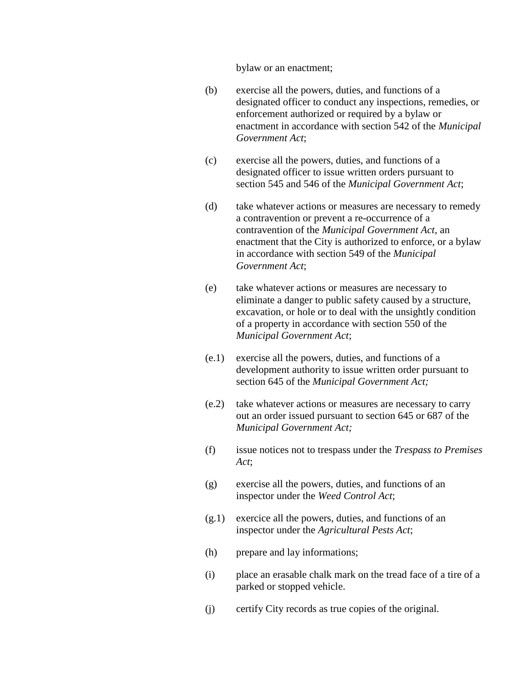bylaw or an enactment;

- (b) exercise all the powers, duties, and functions of a designated officer to conduct any inspections, remedies, or enforcement authorized or required by a bylaw or enactment in accordance with section 542 of the *Municipal Government Act*;
- (c) exercise all the powers, duties, and functions of a designated officer to issue written orders pursuant to section 545 and 546 of the *Municipal Government Act*;
- (d) take whatever actions or measures are necessary to remedy a contravention or prevent a re-occurrence of a contravention of the *Municipal Government Act*, an enactment that the City is authorized to enforce, or a bylaw in accordance with section 549 of the *Municipal Government Act*;
- (e) take whatever actions or measures are necessary to eliminate a danger to public safety caused by a structure, excavation, or hole or to deal with the unsightly condition of a property in accordance with section 550 of the *Municipal Government Act*;
- (e.1) exercise all the powers, duties, and functions of a development authority to issue written order pursuant to section 645 of the *Municipal Government Act;*
- (e.2) take whatever actions or measures are necessary to carry out an order issued pursuant to section 645 or 687 of the *Municipal Government Act;*
- (f) issue notices not to trespass under the *Trespass to Premises Act*;
- (g) exercise all the powers, duties, and functions of an inspector under the *Weed Control Act*;
- (g.1) exercice all the powers, duties, and functions of an inspector under the *Agricultural Pests Act*;
- (h) prepare and lay informations;
- (i) place an erasable chalk mark on the tread face of a tire of a parked or stopped vehicle.
- (j) certify City records as true copies of the original.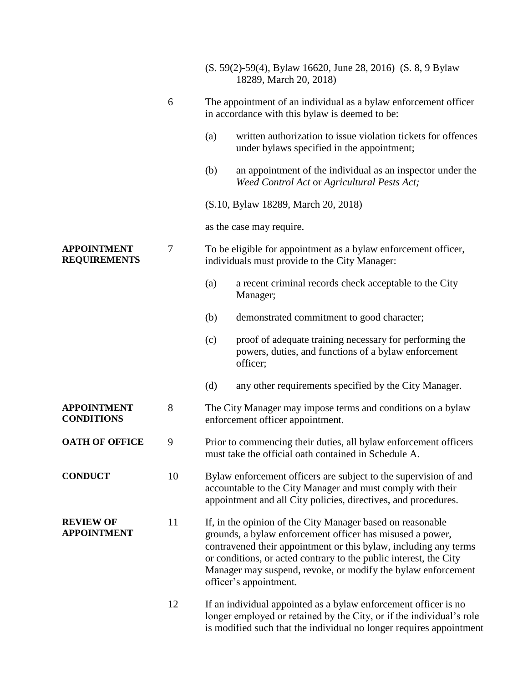|                                           |                  | (S. 59(2)-59(4), Bylaw 16620, June 28, 2016) (S. 8, 9 Bylaw<br>18289, March 20, 2018)                                                                                                                                                                                                                                                                      |  |
|-------------------------------------------|------------------|------------------------------------------------------------------------------------------------------------------------------------------------------------------------------------------------------------------------------------------------------------------------------------------------------------------------------------------------------------|--|
|                                           | 6                | The appointment of an individual as a bylaw enforcement officer<br>in accordance with this bylaw is deemed to be:                                                                                                                                                                                                                                          |  |
|                                           |                  | written authorization to issue violation tickets for offences<br>(a)<br>under bylaws specified in the appointment;                                                                                                                                                                                                                                         |  |
|                                           |                  | (b)<br>an appointment of the individual as an inspector under the<br>Weed Control Act or Agricultural Pests Act;                                                                                                                                                                                                                                           |  |
|                                           |                  | (S.10, Bylaw 18289, March 20, 2018)                                                                                                                                                                                                                                                                                                                        |  |
|                                           |                  | as the case may require.                                                                                                                                                                                                                                                                                                                                   |  |
| <b>APPOINTMENT</b><br><b>REQUIREMENTS</b> | $\boldsymbol{7}$ | To be eligible for appointment as a bylaw enforcement officer,<br>individuals must provide to the City Manager:                                                                                                                                                                                                                                            |  |
|                                           |                  | a recent criminal records check acceptable to the City<br>(a)<br>Manager;                                                                                                                                                                                                                                                                                  |  |
|                                           |                  | demonstrated commitment to good character;<br>(b)                                                                                                                                                                                                                                                                                                          |  |
|                                           |                  | proof of adequate training necessary for performing the<br>(c)<br>powers, duties, and functions of a bylaw enforcement<br>officer;                                                                                                                                                                                                                         |  |
|                                           |                  | (d)<br>any other requirements specified by the City Manager.                                                                                                                                                                                                                                                                                               |  |
| <b>APPOINTMENT</b><br><b>CONDITIONS</b>   | 8                | The City Manager may impose terms and conditions on a bylaw<br>enforcement officer appointment.                                                                                                                                                                                                                                                            |  |
| <b>OATH OF OFFICE</b>                     | 9                | Prior to commencing their duties, all bylaw enforcement officers<br>must take the official oath contained in Schedule A.                                                                                                                                                                                                                                   |  |
| <b>CONDUCT</b>                            | 10               | Bylaw enforcement officers are subject to the supervision of and<br>accountable to the City Manager and must comply with their<br>appointment and all City policies, directives, and procedures.                                                                                                                                                           |  |
| <b>REVIEW OF</b><br><b>APPOINTMENT</b>    | 11               | If, in the opinion of the City Manager based on reasonable<br>grounds, a bylaw enforcement officer has misused a power,<br>contravened their appointment or this bylaw, including any terms<br>or conditions, or acted contrary to the public interest, the City<br>Manager may suspend, revoke, or modify the bylaw enforcement<br>officer's appointment. |  |
|                                           | 12               | If an individual appointed as a bylaw enforcement officer is no<br>longer employed or retained by the City, or if the individual's role<br>is modified such that the individual no longer requires appointment                                                                                                                                             |  |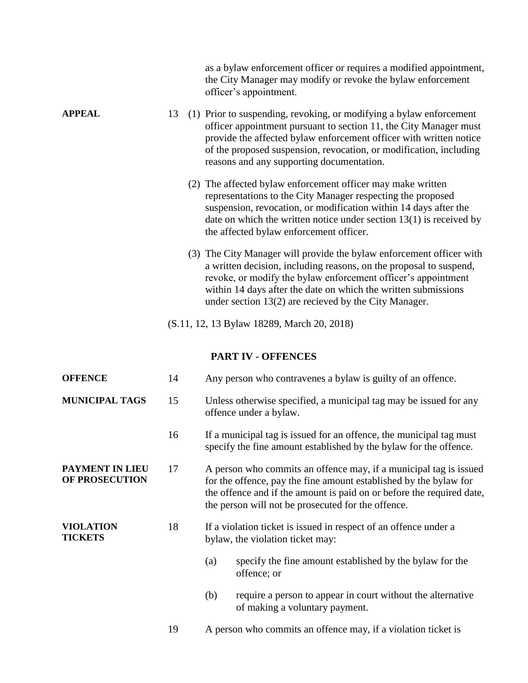|                                    |                                            |  | as a bylaw enforcement officer or requires a modified appointment,<br>the City Manager may modify or revoke the bylaw enforcement<br>officer's appointment.                                                                                                                                                                              |  |
|------------------------------------|--------------------------------------------|--|------------------------------------------------------------------------------------------------------------------------------------------------------------------------------------------------------------------------------------------------------------------------------------------------------------------------------------------|--|
| <b>APPEAL</b>                      | 13                                         |  | (1) Prior to suspending, revoking, or modifying a bylaw enforcement<br>officer appointment pursuant to section 11, the City Manager must<br>provide the affected bylaw enforcement officer with written notice<br>of the proposed suspension, revocation, or modification, including<br>reasons and any supporting documentation.        |  |
|                                    |                                            |  | (2) The affected bylaw enforcement officer may make written<br>representations to the City Manager respecting the proposed<br>suspension, revocation, or modification within 14 days after the<br>date on which the written notice under section $13(1)$ is received by<br>the affected bylaw enforcement officer.                       |  |
|                                    |                                            |  | (3) The City Manager will provide the bylaw enforcement officer with<br>a written decision, including reasons, on the proposal to suspend,<br>revoke, or modify the bylaw enforcement officer's appointment<br>within 14 days after the date on which the written submissions<br>under section $13(2)$ are recieved by the City Manager. |  |
|                                    | (S.11, 12, 13 Bylaw 18289, March 20, 2018) |  |                                                                                                                                                                                                                                                                                                                                          |  |
|                                    |                                            |  | <b>PART IV - OFFENCES</b>                                                                                                                                                                                                                                                                                                                |  |
| <b>OFFENCE</b>                     | 14                                         |  | Any person who contravenes a bylaw is guilty of an offence.                                                                                                                                                                                                                                                                              |  |
| <b>MUNICIPAL TAGS</b>              | 15                                         |  | Unless otherwise specified, a municipal tag may be issued for any<br>offence under a bylaw.                                                                                                                                                                                                                                              |  |
|                                    | 16                                         |  | If a municipal tag is issued for an offence, the municipal tag must<br>specify the fine amount established by the bylaw for the offence.                                                                                                                                                                                                 |  |
| PAYMENT IN LIEU<br>OF PROSECUTION  | 17                                         |  | A person who commits an offence may, if a municipal tag is issued<br>for the offence, pay the fine amount established by the bylaw for<br>the offence and if the amount is paid on or before the required date,<br>the person will not be prosecuted for the offence.                                                                    |  |
| <b>VIOLATION</b><br><b>TICKETS</b> | 18                                         |  | If a violation ticket is issued in respect of an offence under a<br>bylaw, the violation ticket may:                                                                                                                                                                                                                                     |  |
|                                    |                                            |  | (a)<br>specify the fine amount established by the bylaw for the<br>offence; or                                                                                                                                                                                                                                                           |  |
|                                    |                                            |  | require a person to appear in court without the alternative<br>(b)<br>of making a voluntary payment.                                                                                                                                                                                                                                     |  |
|                                    | 19                                         |  | A person who commits an offence may, if a violation ticket is                                                                                                                                                                                                                                                                            |  |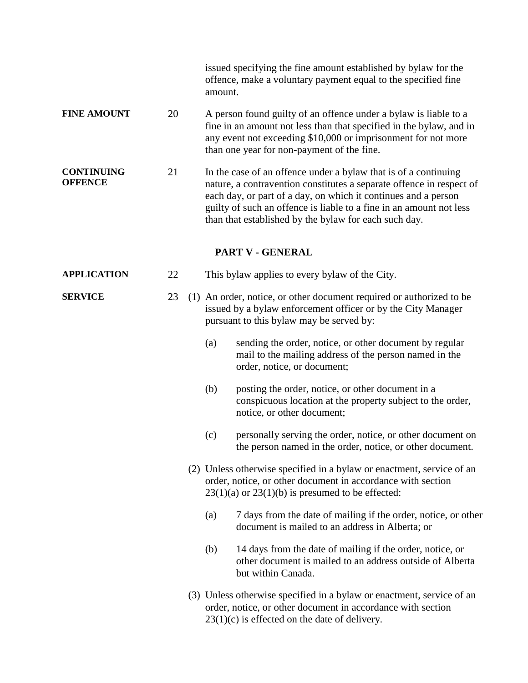|                                     |    | issued specifying the fine amount established by bylaw for the<br>offence, make a voluntary payment equal to the specified fine<br>amount.                                                                                                                                                                                                |
|-------------------------------------|----|-------------------------------------------------------------------------------------------------------------------------------------------------------------------------------------------------------------------------------------------------------------------------------------------------------------------------------------------|
| <b>FINE AMOUNT</b>                  | 20 | A person found guilty of an offence under a bylaw is liable to a<br>fine in an amount not less than that specified in the bylaw, and in<br>any event not exceeding \$10,000 or imprisonment for not more<br>than one year for non-payment of the fine.                                                                                    |
| <b>CONTINUING</b><br><b>OFFENCE</b> | 21 | In the case of an offence under a bylaw that is of a continuing<br>nature, a contravention constitutes a separate offence in respect of<br>each day, or part of a day, on which it continues and a person<br>guilty of such an offence is liable to a fine in an amount not less<br>than that established by the bylaw for each such day. |
|                                     |    | PART V - GENERAL                                                                                                                                                                                                                                                                                                                          |
| <b>APPLICATION</b>                  | 22 | This bylaw applies to every bylaw of the City.                                                                                                                                                                                                                                                                                            |
| <b>SERVICE</b>                      | 23 | (1) An order, notice, or other document required or authorized to be<br>issued by a bylaw enforcement officer or by the City Manager<br>pursuant to this bylaw may be served by:                                                                                                                                                          |
|                                     |    | sending the order, notice, or other document by regular<br>(a)<br>mail to the mailing address of the person named in the<br>order, notice, or document;                                                                                                                                                                                   |
|                                     |    | (b)<br>posting the order, notice, or other document in a<br>conspicuous location at the property subject to the order,<br>notice, or other document;                                                                                                                                                                                      |
|                                     |    | personally serving the order, notice, or other document on<br>(c)<br>the person named in the order, notice, or other document.                                                                                                                                                                                                            |
|                                     |    | (2) Unless otherwise specified in a bylaw or enactment, service of an<br>order, notice, or other document in accordance with section<br>$23(1)(a)$ or $23(1)(b)$ is presumed to be effected:                                                                                                                                              |
|                                     |    | 7 days from the date of mailing if the order, notice, or other<br>(a)<br>document is mailed to an address in Alberta; or                                                                                                                                                                                                                  |
|                                     |    | 14 days from the date of mailing if the order, notice, or<br>(b)<br>other document is mailed to an address outside of Alberta<br>but within Canada.                                                                                                                                                                                       |
|                                     |    | (3) Unless otherwise specified in a bylaw or enactment, service of an<br>order, notice, or other document in accordance with section<br>$23(1)(c)$ is effected on the date of delivery.                                                                                                                                                   |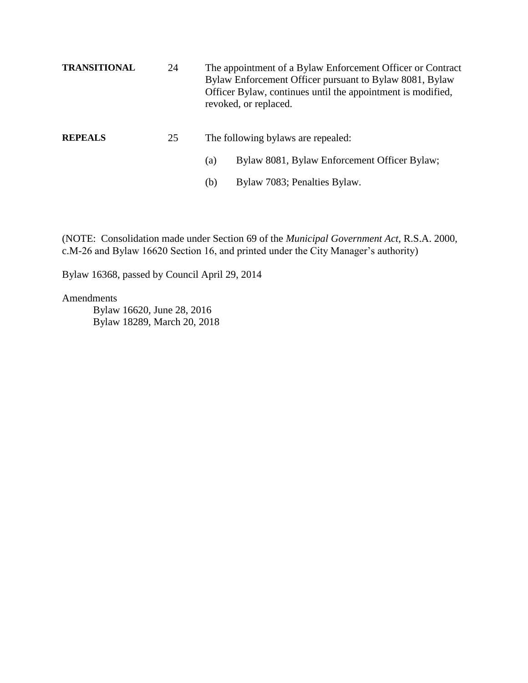| <b>TRANSITIONAL</b> | 24 | The appointment of a Bylaw Enforcement Officer or Contract<br>Bylaw Enforcement Officer pursuant to Bylaw 8081, Bylaw<br>Officer Bylaw, continues until the appointment is modified,<br>revoked, or replaced. |
|---------------------|----|---------------------------------------------------------------------------------------------------------------------------------------------------------------------------------------------------------------|
| <b>REPEALS</b>      | 25 | The following bylaws are repealed:                                                                                                                                                                            |
|                     |    | Bylaw 8081, Bylaw Enforcement Officer Bylaw;<br>(a)                                                                                                                                                           |
|                     |    | Bylaw 7083; Penalties Bylaw.<br>(b)                                                                                                                                                                           |

(NOTE: Consolidation made under Section 69 of the *Municipal Government Act,* R.S.A. 2000, c.M-26 and Bylaw 16620 Section 16, and printed under the City Manager's authority)

Bylaw 16368, passed by Council April 29, 2014

Amendments

 Bylaw 16620, June 28, 2016 Bylaw 18289, March 20, 2018